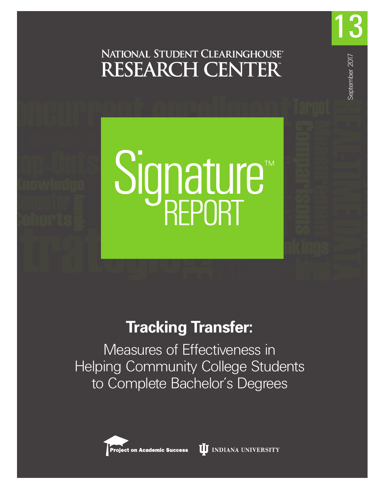

13

September 2017

September 2017

Signature<sup>®</sup>

# **Tracking Transfer:**

Measures of Effectiveness in Helping Community College Students to Complete Bachelor's Degrees



**II** INDIANA UNIVERSITY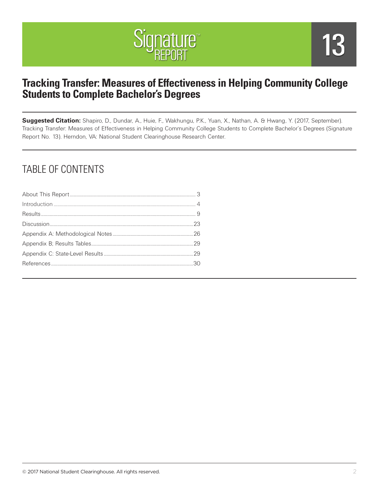

# **Tracking Transfer: Measures of Effectiveness in Helping Community College Students to Complete Bachelor's Degrees**

**Suggested Citation:** Shapiro, D., Dundar, A., Huie, F., Wakhungu, P.K., Yuan, X., Nathan, A. & Hwang, Y. (2017, September). Tracking Transfer: Measures of Effectiveness in Helping Community College Students to Complete Bachelor's Degrees (Signature Report No. 13). Herndon, VA: National Student Clearinghouse Research Center.

# TABLE OF CONTENTS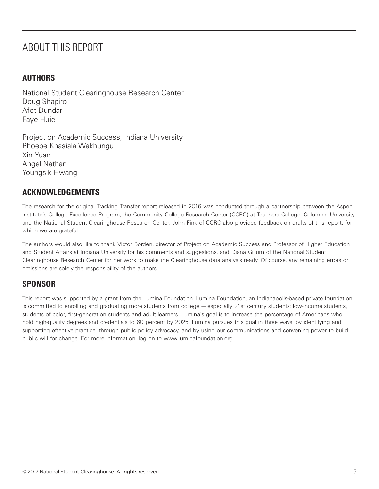# ABOUT THIS REPORT

#### **AUTHORS**

National Student Clearinghouse Research Center Doug Shapiro Afet Dundar Faye Huie

Project on Academic Success, Indiana University Phoebe Khasiala Wakhungu Xin Yuan Angel Nathan Youngsik Hwang

#### **ACKNOWLEDGEMENTS**

The research for the original Tracking Transfer report released in 2016 was conducted through a partnership between the Aspen Institute's College Excellence Program; the Community College Research Center (CCRC) at Teachers College, Columbia University; and the National Student Clearinghouse Research Center. John Fink of CCRC also provided feedback on drafts of this report, for which we are grateful.

The authors would also like to thank Victor Borden, director of Project on Academic Success and Professor of Higher Education and Student Affairs at Indiana University for his comments and suggestions, and Diana Gillum of the National Student Clearinghouse Research Center for her work to make the Clearinghouse data analysis ready. Of course, any remaining errors or omissions are solely the responsibility of the authors.

#### **SPONSOR**

This report was supported by a grant from the Lumina Foundation. Lumina Foundation, an Indianapolis-based private foundation, is committed to enrolling and graduating more students from college — especially 21st century students: low-income students, students of color, first-generation students and adult learners. Lumina's goal is to increase the percentage of Americans who hold high-quality degrees and credentials to 60 percent by 2025. Lumina pursues this goal in three ways: by identifying and supporting effective practice, through public policy advocacy, and by using our communications and convening power to build public will for change. For more information, log on to www.luminafoundation.org.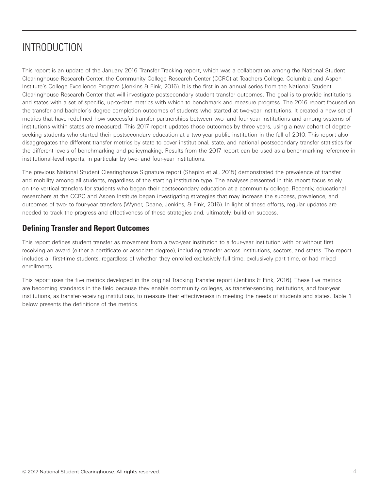# INTRODUCTION

This report is an update of the January 2016 Transfer Tracking report, which was a collaboration among the National Student Clearinghouse Research Center, the Community College Research Center (CCRC) at Teachers College, Columbia, and Aspen Institute's College Excellence Program (Jenkins & Fink, 2016). It is the first in an annual series from the National Student Clearinghouse Research Center that will investigate postsecondary student transfer outcomes. The goal is to provide institutions and states with a set of specific, up-to-date metrics with which to benchmark and measure progress. The 2016 report focused on the transfer and bachelor's degree completion outcomes of students who started at two-year institutions. It created a new set of metrics that have redefined how successful transfer partnerships between two- and four-year institutions and among systems of institutions within states are measured. This 2017 report updates those outcomes by three years, using a new cohort of degreeseeking students who started their postsecondary education at a two-year public institution in the fall of 2010. This report also disaggregates the different transfer metrics by state to cover institutional, state, and national postsecondary transfer statistics for the different levels of benchmarking and policymaking. Results from the 2017 report can be used as a benchmarking reference in institutional-level reports, in particular by two- and four-year institutions.

The previous National Student Clearinghouse Signature report (Shapiro et al., 2015) demonstrated the prevalence of transfer and mobility among all students, regardless of the starting institution type. The analyses presented in this report focus solely on the vertical transfers for students who began their postsecondary education at a community college. Recently, educational researchers at the CCRC and Aspen Institute began investigating strategies that may increase the success, prevalence, and outcomes of two- to four-year transfers (Wyner, Deane, Jenkins, & Fink, 2016). In light of these efforts, regular updates are needed to track the progress and effectiveness of these strategies and, ultimately, build on success.

#### **Defining Transfer and Report Outcomes**

This report defines student transfer as movement from a two-year institution to a four-year institution with or without first receiving an award (either a certificate or associate degree), including transfer across institutions, sectors, and states. The report includes all first-time students, regardless of whether they enrolled exclusively full time, exclusively part time, or had mixed enrollments.

This report uses the five metrics developed in the original Tracking Transfer report (Jenkins & Fink, 2016). These five metrics are becoming standards in the field because they enable community colleges, as transfer-sending institutions, and four-year institutions, as transfer-receiving institutions, to measure their effectiveness in meeting the needs of students and states. Table 1 below presents the definitions of the metrics.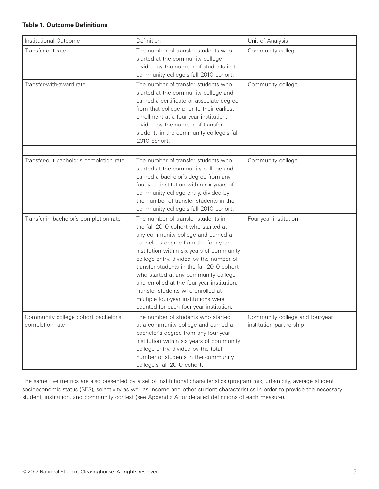#### **Table 1. Outcome Definitions**

| Institutional Outcome                                  | Definition                                                                                                                                                                                                                                                                                                                                                                                                                                                                                                 | Unit of Analysis                                           |
|--------------------------------------------------------|------------------------------------------------------------------------------------------------------------------------------------------------------------------------------------------------------------------------------------------------------------------------------------------------------------------------------------------------------------------------------------------------------------------------------------------------------------------------------------------------------------|------------------------------------------------------------|
| Transfer-out rate                                      | The number of transfer students who<br>started at the community college<br>divided by the number of students in the<br>community college's fall 2010 cohort.                                                                                                                                                                                                                                                                                                                                               | Community college                                          |
| Transfer-with-award rate                               | The number of transfer students who<br>started at the community college and<br>earned a certificate or associate degree<br>from that college prior to their earliest<br>enrollment at a four-year institution,<br>divided by the number of transfer<br>students in the community college's fall<br>2010 cohort.                                                                                                                                                                                            | Community college                                          |
| Transfer-out bachelor's completion rate                | The number of transfer students who<br>started at the community college and<br>earned a bachelor's degree from any<br>four-year institution within six years of<br>community college entry, divided by<br>the number of transfer students in the<br>community college's fall 2010 cohort.                                                                                                                                                                                                                  | Community college                                          |
| Transfer-in bachelor's completion rate                 | The number of transfer students in<br>the fall 2010 cohort who started at<br>any community college and earned a<br>bachelor's degree from the four-year<br>institution within six years of community<br>college entry, divided by the number of<br>transfer students in the fall 2010 cohort<br>who started at any community college<br>and enrolled at the four-year institution.<br>Transfer students who enrolled at<br>multiple four-year institutions were<br>counted for each four-year institution. | Four-year institution                                      |
| Community college cohort bachelor's<br>completion rate | The number of students who started<br>at a community college and earned a<br>bachelor's degree from any four-year<br>institution within six years of community<br>college entry, divided by the total<br>number of students in the community<br>college's fall 2010 cohort.                                                                                                                                                                                                                                | Community college and four-year<br>institution partnership |

The same five metrics are also presented by a set of institutional characteristics (program mix, urbanicity, average student socioeconomic status (SES), selectivity as well as income and other student characteristics in order to provide the necessary student, institution, and community context (see Appendix A for detailed definitions of each measure).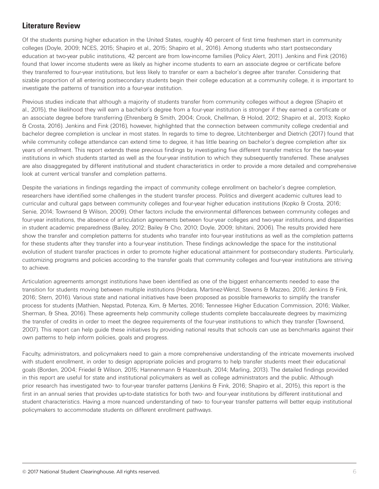### **Literature Review**

Of the students pursing higher education in the United States, roughly 40 percent of first time freshmen start in community colleges (Doyle, 2009; NCES, 2015; Shapiro et al., 2015; Shapiro et al., 2016). Among students who start postsecondary education at two-year public institutions, 42 percent are from low-income families (Policy Alert, 2011). Jenkins and Fink (2016) found that lower income students were as likely as higher income students to earn an associate degree or certificate before they transferred to four-year institutions, but less likely to transfer or earn a bachelor's degree after transfer. Considering that sizable proportion of all entering postsecondary students begin their college education at a community college, it is important to investigate the patterns of transition into a four-year institution.

Previous studies indicate that although a majority of students transfer from community colleges without a degree (Shapiro et al., 2015), the likelihood they will earn a bachelor's degree from a four-year institution is stronger if they earned a certificate or an associate degree before transferring (Ehrenberg & Smith, 2004; Crook, Chellman, & Holod, 2012; Shapiro et al., 2013; Kopko & Crosta, 2016). Jenkins and Fink (2016), however, highlighted that the connection between community college credential and bachelor degree completion is unclear in most states. In regards to time to degree, Litchtenberger and Dietrich (2017) found that while community college attendance can extend time to degree, it has little bearing on bachelor's degree completion after six years of enrollment. This report extends these previous findings by investigating five different transfer metrics for the two-year institutions in which students started as well as the four-year institution to which they subsequently transferred. These analyses are also disaggregated by different institutional and student characteristics in order to provide a more detailed and comprehensive look at current vertical transfer and completion patterns.

Despite the variations in findings regarding the impact of community college enrollment on bachelor's degree completion, researchers have identified some challenges in the student transfer process. Politics and divergent academic cultures lead to curricular and cultural gaps between community colleges and four-year higher education institutions (Kopko & Crosta, 2016; Senie, 2014; Townsend & Wilson, 2009). Other factors include the environmental differences between community colleges and four-year institutions, the absence of articulation agreements between four-year colleges and two-year institutions, and disparities in student academic preparedness (Bailey, 2012; Bailey & Cho, 2010; Doyle, 2009; Ishitani, 2006). The results provided here show the transfer and completion patterns for students who transfer into four-year institutions as well as the completion patterns for these students after they transfer into a four-year institution. These findings acknowledge the space for the institutional evolution of student transfer practices in order to promote higher educational attainment for postsecondary students. Particularly, customizing programs and policies according to the transfer goals that community colleges and four-year institutions are striving to achieve.

Articulation agreements amongst institutions have been identified as one of the biggest enhancements needed to ease the transition for students moving between multiple institutions (Hodara, Martinez-Wenzl, Stevens & Mazzeo, 2016; Jenkins & Fink, 2016; Stern, 2016). Various state and national initiatives have been proposed as possible frameworks to simplify the transfer process for students (Mathien, Nepstad, Potenza, Kim, & Mertes, 2016; Tennessee Higher Education Commission, 2016; Walker, Sherman, & Shea, 2016). These agreements help community college students complete baccalaureate degrees by maximizing the transfer of credits in order to meet the degree requirements of the four-year institutions to which they transfer (Townsend, 2007). This report can help guide these initiatives by providing national results that schools can use as benchmarks against their own patterns to help inform policies, goals and progress.

Faculty, administrators, and policymakers need to gain a more comprehensive understanding of the intricate movements involved with student enrollment, in order to design appropriate policies and programs to help transfer students meet their educational goals (Borden, 2004; Friedel & Wilson, 2015; Hannenmann & Hazenbush, 2014; Marling, 2013). The detailed findings provided in this report are useful for state and institutional policymakers as well as college administrators and the public. Although prior research has investigated two- to four-year transfer patterns (Jenkins & Fink, 2016; Shapiro et al., 2015), this report is the first in an annual series that provides up-to-date statistics for both two- and four-year institutions by different institutional and student characteristics. Having a more nuanced understanding of two- to four-year transfer patterns will better equip institutional policymakers to accommodate students on different enrollment pathways.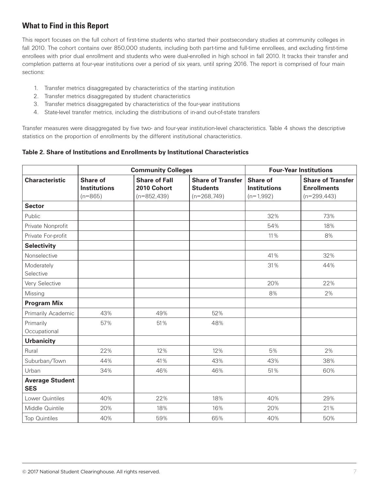## **What to Find in this Report**

This report focuses on the full cohort of first-time students who started their postsecondary studies at community colleges in fall 2010. The cohort contains over 850,000 students, including both part-time and full-time enrollees, and excluding first-time enrollees with prior dual enrollment and students who were dual-enrolled in high school in fall 2010. It tracks their transfer and completion patterns at four-year institutions over a period of six years, until spring 2016. The report is comprised of four main sections:

- 1. Transfer metrics disaggregated by characteristics of the starting institution
- 2. Transfer metrics disaggregated by student characteristics
- 3. Transfer metrics disaggregated by characteristics of the four-year institutions
- 4. State-level transfer metrics, including the distributions of in-and out-of-state transfers

Transfer measures were disaggregated by five two- and four-year institution-level characteristics. Table 4 shows the descriptive statistics on the proportion of enrollments by the different institutional characteristics.

**Table 2. Share of Institutions and Enrollments by Institutional Characteristics**

|                                      | <b>Community Colleges</b>                           |                                                      | <b>Four-Year Institutions</b>                                |                                                       |                                                                 |
|--------------------------------------|-----------------------------------------------------|------------------------------------------------------|--------------------------------------------------------------|-------------------------------------------------------|-----------------------------------------------------------------|
| <b>Characteristic</b>                | <b>Share of</b><br><b>Institutions</b><br>$(n=865)$ | <b>Share of Fall</b><br>2010 Cohort<br>$(n=852,439)$ | <b>Share of Transfer</b><br><b>Students</b><br>$(n=268,749)$ | <b>Share of</b><br><b>Institutions</b><br>$(n=1,992)$ | <b>Share of Transfer</b><br><b>Enrollments</b><br>$(n=299,443)$ |
| <b>Sector</b>                        |                                                     |                                                      |                                                              |                                                       |                                                                 |
| Public                               |                                                     |                                                      |                                                              | 32%                                                   | 73%                                                             |
| Private Nonprofit                    |                                                     |                                                      |                                                              | 54%                                                   | 18%                                                             |
| Private For-profit                   |                                                     |                                                      |                                                              | 11%                                                   | 8%                                                              |
| <b>Selectivity</b>                   |                                                     |                                                      |                                                              |                                                       |                                                                 |
| Nonselective                         |                                                     |                                                      |                                                              | 41%                                                   | 32%                                                             |
| Moderately<br>Selective              |                                                     |                                                      |                                                              | 31%                                                   | 44%                                                             |
| Very Selective                       |                                                     |                                                      |                                                              | 20%                                                   | 22%                                                             |
| Missing                              |                                                     |                                                      |                                                              | 8%                                                    | 2%                                                              |
| <b>Program Mix</b>                   |                                                     |                                                      |                                                              |                                                       |                                                                 |
| Primarily Academic                   | 43%                                                 | 49%                                                  | 52%                                                          |                                                       |                                                                 |
| Primarily<br>Occupational            | 57%                                                 | 51%                                                  | 48%                                                          |                                                       |                                                                 |
| <b>Urbanicity</b>                    |                                                     |                                                      |                                                              |                                                       |                                                                 |
| Rural                                | 22%                                                 | 12%                                                  | 12%                                                          | 5%                                                    | 2%                                                              |
| Suburban/Town                        | 44%                                                 | 41%                                                  | 43%                                                          | 43%                                                   | 38%                                                             |
| Urban                                | 34%                                                 | 46%                                                  | 46%                                                          | 51%                                                   | 60%                                                             |
| <b>Average Student</b><br><b>SES</b> |                                                     |                                                      |                                                              |                                                       |                                                                 |
| Lower Quintiles                      | 40%                                                 | 22%                                                  | 18%                                                          | 40%                                                   | 29%                                                             |
| Middle Quintile                      | 20%                                                 | 18%                                                  | 16%                                                          | 20%                                                   | 21%                                                             |
| <b>Top Quintiles</b>                 | 40%                                                 | 59%                                                  | 65%                                                          | 40%                                                   | 50%                                                             |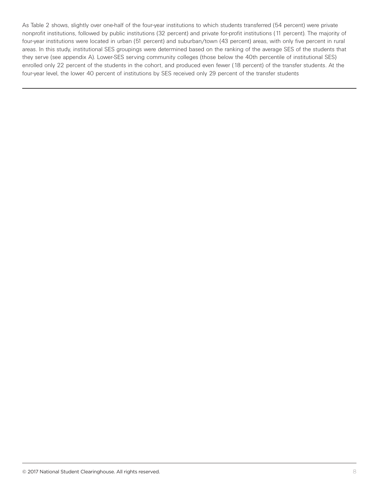As Table 2 shows, slightly over one-half of the four-year institutions to which students transferred (54 percent) were private nonprofit institutions, followed by public institutions (32 percent) and private for-profit institutions (11 percent). The majority of four-year institutions were located in urban (51 percent) and suburban/town (43 percent) areas, with only five percent in rural areas. In this study, institutional SES groupings were determined based on the ranking of the average SES of the students that they serve (see appendix A). Lower-SES serving community colleges (those below the 40th percentile of institutional SES) enrolled only 22 percent of the students in the cohort, and produced even fewer (18 percent) of the transfer students. At the four-year level, the lower 40 percent of institutions by SES received only 29 percent of the transfer students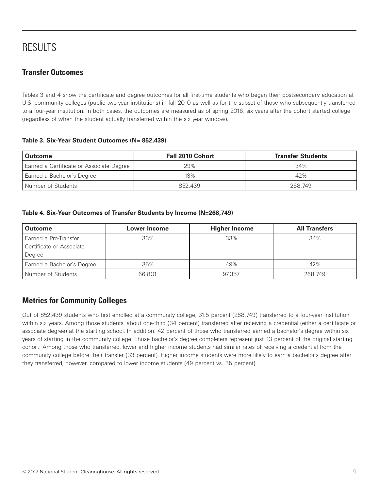# RESULTS

## **Transfer Outcomes**

Tables 3 and 4 show the certificate and degree outcomes for all first-time students who began their postsecondary education at U.S. community colleges (public two-year institutions) in fall 2010 as well as for the subset of those who subsequently transferred to a four-year institution. In both cases, the outcomes are measured as of spring 2016, six years after the cohort started college (regardless of when the student actually transferred within the six year window).

#### **Table 3. Six-Year Student Outcomes (N= 852,439)**

| <b>Outcome</b>                           | <b>Fall 2010 Cohort</b> | <b>Transfer Students</b> |  |
|------------------------------------------|-------------------------|--------------------------|--|
| Earned a Certificate or Associate Degree | 29%                     | 34%                      |  |
| Earned a Bachelor's Degree               | 13%                     | 42%                      |  |
| Number of Students                       | 852,439                 | 268.749                  |  |

#### **Table 4. Six-Year Outcomes of Transfer Students by Income (N=268,749)**

| <b>Outcome</b>                                              | <b>Lower Income</b> | <b>Higher Income</b> | <b>All Transfers</b> |
|-------------------------------------------------------------|---------------------|----------------------|----------------------|
| Earned a Pre-Transfer<br>Certificate or Associate<br>Degree | 33%                 | 33%                  | 34%                  |
| Earned a Bachelor's Degree                                  | 35%                 | 49%                  | 42%                  |
| Number of Students                                          | 66,801              | 97.357               | 268,749              |

### **Metrics for Community Colleges**

Out of 852,439 students who first enrolled at a community college, 31.5 percent (268,749) transferred to a four-year institution within six years. Among those students, about one-third (34 percent) transferred after receiving a credential (either a certificate or associate degree) at the starting school. In addition, 42 percent of those who transferred earned a bachelor's degree within six years of starting in the community college. Those bachelor's degree completers represent just 13 percent of the original starting cohort. Among those who transferred, lower and higher income students had similar rates of receiving a credential from the community college before their transfer (33 percent). Higher income students were more likely to earn a bachelor's degree after they transferred, however, compared to lower income students (49 percent vs. 35 percent).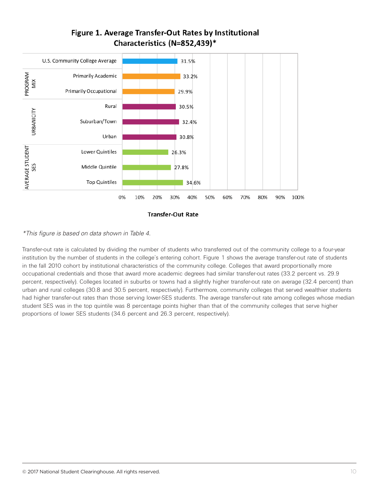

#### *\*This figure is based on data shown in Table 4.*

Transfer-out rate is calculated by dividing the number of students who transferred out of the community college to a four-year institution by the number of students in the college's entering cohort. Figure 1 shows the average transfer-out rate of students in the fall 2010 cohort by institutional characteristics of the community college. Colleges that award proportionally more occupational credentials and those that award more academic degrees had similar transfer-out rates (33.2 percent vs. 29.9 percent, respectively). Colleges located in suburbs or towns had a slightly higher transfer-out rate on average (32.4 percent) than urban and rural colleges (30.8 and 30.5 percent, respectively). Furthermore, community colleges that served wealthier students had higher transfer-out rates than those serving lower-SES students. The average transfer-out rate among colleges whose median student SES was in the top quintile was 8 percentage points higher than that of the community colleges that serve higher proportions of lower SES students (34.6 percent and 26.3 percent, respectively).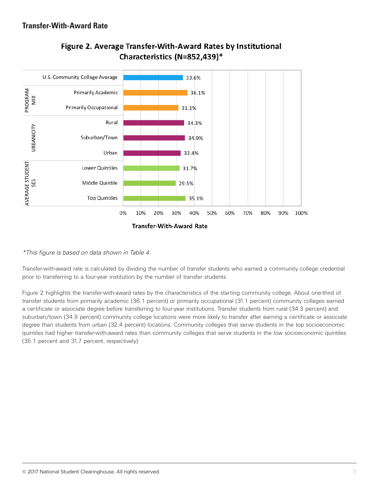

# Figure 2. Average Transfer-With-Award Rates by Institutional Characteristics (N=852,439)\*

*\*This figure is based on data shown in Table 4.*

Transfer-with-award rate is calculated by dividing the number of transfer students who earned a community college credential prior to transferring to a four-year institution by the number of transfer students.

Figure 2 highlights the transfer-with-award rates by the characteristics of the starting community college. About one-third of transfer students from primarily academic (36.1 percent) or primarily occupational (31.1 percent) community colleges earned a certificate or associate degree before transferring to four-year institutions. Transfer students from rural (34.3 percent) and suburban/town (34.9 percent) community college locations were more likely to transfer after earning a certificate or associate degree than students from urban (32.4 percent) locations. Community colleges that serve students in the top socioeconomic quintiles had higher transfer-with-award rates than community colleges that serve students in the low socioeconomic quintiles (35.1 percent and 31.7 percent, respectively).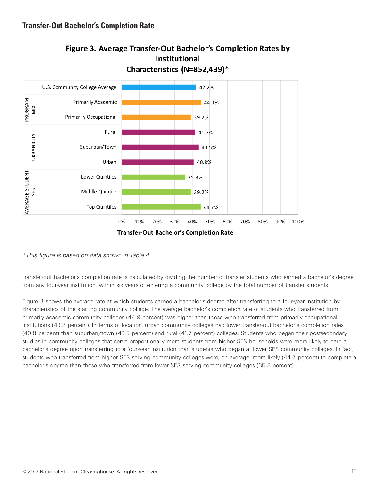

# Figure 3. Average Transfer-Out Bachelor's Completion Rates by

*\*This figure is based on data shown in Table 4.*

Transfer-out bachelor's completion rate is calculated by dividing the number of transfer students who earned a bachelor's degree, from any four-year institution, within six years of entering a community college by the total number of transfer students.

Figure 3 shows the average rate at which students earned a bachelor's degree after transferring to a four-year institution by characteristics of the starting community college. The average bachelor's completion rate of students who transferred from primarily academic community colleges (44.9 percent) was higher than those who transferred from primarily occupational institutions (49.2 percent). In terms of location, urban community colleges had lower transfer-out bachelor's completion rates (40.8 percent) than suburban/town (43.5 percent) and rural (41.7 percent) colleges. Students who began their postsecondary studies in community colleges that serve proportionally more students from higher SES households were more likely to earn a bachelor's degree upon transferring to a four-year institution than students who began at lower SES community colleges. In fact, students who transferred from higher SES serving community colleges were, on average, more likely (44.7 percent) to complete a bachelor's degree than those who transferred from lower SES serving community colleges (35.8 percent).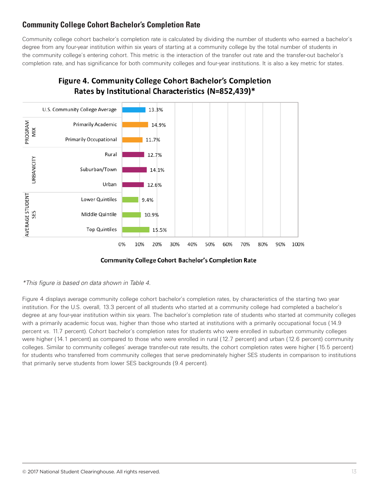### **Community College Cohort Bachelor's Completion Rate**

Community college cohort bachelor's completion rate is calculated by dividing the number of students who earned a bachelor's degree from any four-year institution within six years of starting at a community college by the total number of students in the community college's entering cohort. This metric is the interaction of the transfer out rate and the transfer-out bachelor's completion rate, and has significance for both community colleges and four-year institutions. It is also a key metric for states.



## **Figure 4. Community College Cohort Bachelor's Completion** Rates by Institutional Characteristics (N=852,439)\*

*\*This figure is based on data shown in Table 4.*

Figure 4 displays average community college cohort bachelor's completion rates, by characteristics of the starting two year institution. For the U.S. overall, 13.3 percent of all students who started at a community college had completed a bachelor's degree at any four-year institution within six years. The bachelor's completion rate of students who started at community colleges with a primarily academic focus was, higher than those who started at institutions with a primarily occupational focus (14.9 percent vs. 11.7 percent). Cohort bachelor's completion rates for students who were enrolled in suburban community colleges were higher (14.1 percent) as compared to those who were enrolled in rural (12.7 percent) and urban (12.6 percent) community colleges. Similar to community colleges' average transfer-out rate results, the cohort completion rates were higher (15.5 percent) for students who transferred from community colleges that serve predominately higher SES students in comparison to institutions that primarily serve students from lower SES backgrounds (9.4 percent).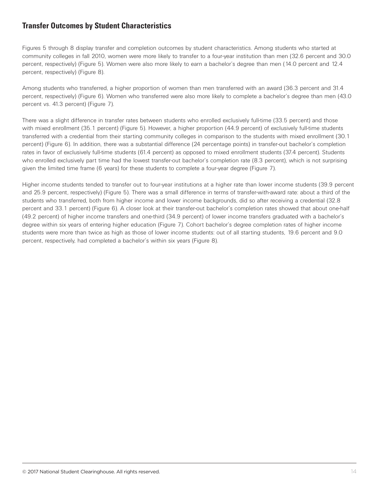#### **Transfer Outcomes by Student Characteristics**

Figures 5 through 8 display transfer and completion outcomes by student characteristics. Among students who started at community colleges in fall 2010, women were more likely to transfer to a four-year institution than men (32.6 percent and 30.0 percent, respectively) (Figure 5). Women were also more likely to earn a bachelor's degree than men (14.0 percent and 12.4 percent, respectively) (Figure 8).

Among students who transferred, a higher proportion of women than men transferred with an award (36.3 percent and 31.4 percent, respectively) (Figure 6). Women who transferred were also more likely to complete a bachelor's degree than men (43.0 percent vs. 41.3 percent) (Figure 7).

There was a slight difference in transfer rates between students who enrolled exclusively full-time (33.5 percent) and those with mixed enrollment (35.1 percent) (Figure 5). However, a higher proportion (44.9 percent) of exclusively full-time students transferred with a credential from their starting community colleges in comparison to the students with mixed enrollment (30.1 percent) (Figure 6). In addition, there was a substantial difference (24 percentage points) in transfer-out bachelor's completion rates in favor of exclusively full-time students (61.4 percent) as opposed to mixed enrollment students (37.4 percent). Students who enrolled exclusively part time had the lowest transfer-out bachelor's completion rate (8.3 percent), which is not surprising given the limited time frame (6 years) for these students to complete a four-year degree (Figure 7).

Higher income students tended to transfer out to four-year institutions at a higher rate than lower income students (39.9 percent and 25.9 percent, respectively) (Figure 5). There was a small difference in terms of transfer-with-award rate: about a third of the students who transferred, both from higher income and lower income backgrounds, did so after receiving a credential (32.8 percent and 33.1 percent) (Figure 6). A closer look at their transfer-out bachelor's completion rates showed that about one-half (49.2 percent) of higher income transfers and one-third (34.9 percent) of lower income transfers graduated with a bachelor's degree within six years of entering higher education (Figure 7). Cohort bachelor's degree completion rates of higher income students were more than twice as high as those of lower income students: out of all starting students, 19.6 percent and 9.0 percent, respectively, had completed a bachelor's within six years (Figure 8).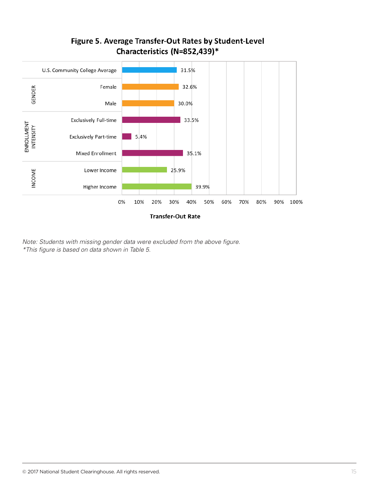

## Figure 5. Average Transfer-Out Rates by Student-Level Characteristics (N=852,439)\*

*Note: Students with missing gender data were excluded from the above figure. \*This figure is based on data shown in Table 5.*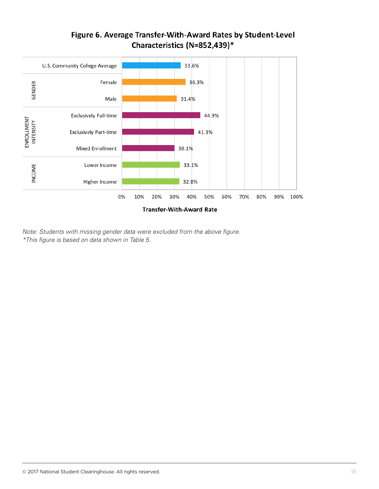

## Figure 6. Average Transfer-With-Award Rates by Student-Level Characteristics (N=852,439)\*

*Note: Students with missing gender data were excluded from the above figure. \*This figure is based on data shown in Table 5.*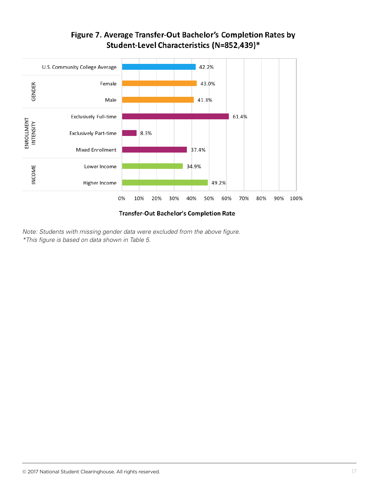

# Figure 7. Average Transfer-Out Bachelor's Completion Rates by Student-Level Characteristics (N=852,439)\*

Transfer-Out Bachelor's Completion Rate

*Note: Students with missing gender data were excluded from the above figure. \*This figure is based on data shown in Table 5.*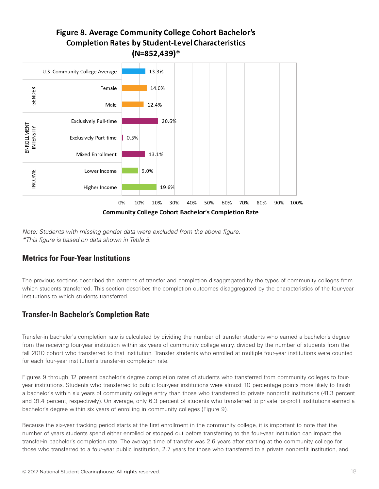## Figure 8. Average Community College Cohort Bachelor's **Completion Rates by Student-Level Characteristics**  $(N=852, 439)^*$



*Note: Students with missing gender data were excluded from the above figure. \*This figure is based on data shown in Table 5.*

#### **Metrics for Four-Year Institutions**

The previous sections described the patterns of transfer and completion disaggregated by the types of community colleges from which students transferred. This section describes the completion outcomes disaggregated by the characteristics of the four-year institutions to which students transferred.

## **Transfer-In Bachelor's Completion Rate**

Transfer-in bachelor's completion rate is calculated by dividing the number of transfer students who earned a bachelor's degree from the receiving four-year institution within six years of community college entry, divided by the number of students from the fall 2010 cohort who transferred to that institution. Transfer students who enrolled at multiple four-year institutions were counted for each four-year institution's transfer-in completion rate.

Figures 9 through 12 present bachelor's degree completion rates of students who transferred from community colleges to fouryear institutions. Students who transferred to public four-year institutions were almost 10 percentage points more likely to finish a bachelor's within six years of community college entry than those who transferred to private nonprofit institutions (41.3 percent and 31.4 percent, respectively). On average, only 6.3 percent of students who transferred to private for-profit institutions earned a bachelor's degree within six years of enrolling in community colleges (Figure 9).

Because the six-year tracking period starts at the first enrollment in the community college, it is important to note that the number of years students spend either enrolled or stopped out before transferring to the four-year institution can impact the transfer-in bachelor's completion rate. The average time of transfer was 2.6 years after starting at the community college for those who transferred to a four-year public institution, 2.7 years for those who transferred to a private nonprofit institution, and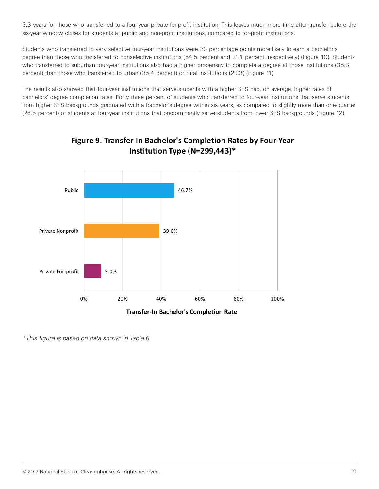3.3 years for those who transferred to a four-year private for-profit institution. This leaves much more time after transfer before the six-year window closes for students at public and non-profit institutions, compared to for-profit institutions.

Students who transferred to very selective four-year institutions were 33 percentage points more likely to earn a bachelor's degree than those who transferred to nonselective institutions (54.5 percent and 21.1 percent, respectively) (Figure 10). Students who transferred to suburban four-year institutions also had a higher propensity to complete a degree at those institutions (38.3 percent) than those who transferred to urban (35.4 percent) or rural institutions (29.3) (Figure 11).

The results also showed that four-year institutions that serve students with a higher SES had, on average, higher rates of bachelors' degree completion rates. Forty three percent of students who transferred to four-year institutions that serve students from higher SES backgrounds graduated with a bachelor's degree within six years, as compared to slightly more than one-quarter (26.5 percent) of students at four-year institutions that predominantly serve students from lower SES backgrounds (Figure 12).



## Figure 9. Transfer-In Bachelor's Completion Rates by Four-Year Institution Type (N=299,443)\*

*\*This figure is based on data shown in Table 6.*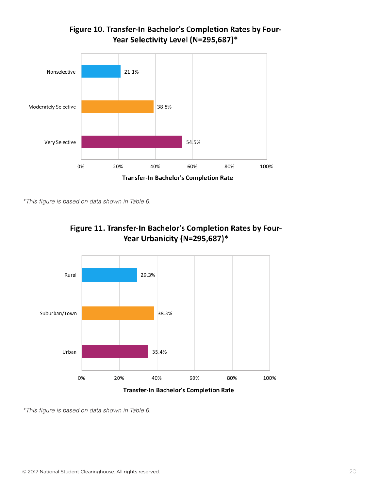

Figure 10. Transfer-In Bachelor's Completion Rates by Four-Year Selectivity Level (N=295,687)\*

*\*This figure is based on data shown in Table 6.*





Transfer-In Bachelor's Completion Rate

*\*This figure is based on data shown in Table 6.*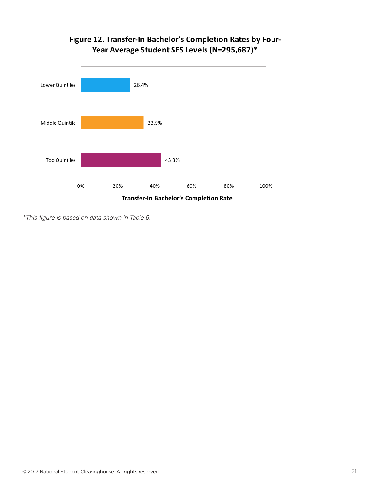

# Figure 12. Transfer-In Bachelor's Completion Rates by Four-Year Average Student SES Levels (N=295,687)\*

*\*This figure is based on data shown in Table 6.*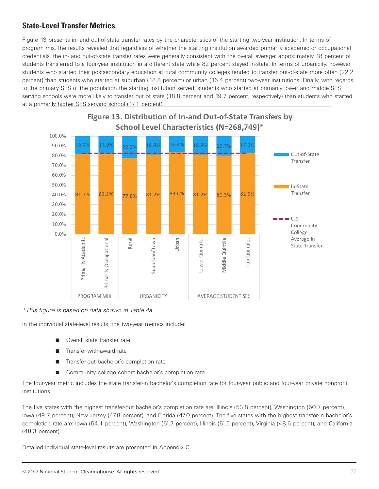#### **State-Level Transfer Metrics**

Figure 13 presents in- and out-of-state transfer rates by the characteristics of the starting two-year institution. In terms of program mix, the results revealed that regardless of whether the starting institution awarded primarily academic or occupational credentials, the in- and out-of-state transfer rates were generally consistent with the overall average: approximately 18 percent of students transferred to a four-year institution in a different state while 82 percent stayed in-state. In terms of urbanicity, however, students who started their postsecondary education at rural community colleges tended to transfer out-of-state more often (22.2 percent) than students who started at suburban (18.8 percent) or urban (16.4 percent) two-year institutions. Finally, with regards to the primary SES of the population the starting institution served, students who started at primarily lower and middle SES serving schools were more likely to transfer out of state (18.8 percent and 19.7 percent, respectively) than students who started at a primarily higher SES serving school (17.1 percent).



*\*This figure is based on data shown in Table 4a.*

In the individual state-level results, the two-year metrics include:

- Overall state transfer rate
- Transfer-with-award rate
- Transfer-out bachelor's completion rate
- Community college cohort bachelor's completion rate

The four-year metric includes the state transfer-in bachelor's completion rate for four-year public and four-year private nonprofit institutions.

The five states with the highest transfer-out bachelor's completion rate are: Illinois (53.8 percent), Washington (50.7 percent), Iowa (49.7 percent), New Jersey (47.8 percent), and Florida (47.0 percent). The five states with the highest transfer-in bachelor's completion rate are: Iowa (54.1 percent), Washington (51.7 percent), Illinois (51.5 percent), Virginia (48.6 percent), and California (48.3 percent).

Detailed individual state-level results are presented in Appendix C.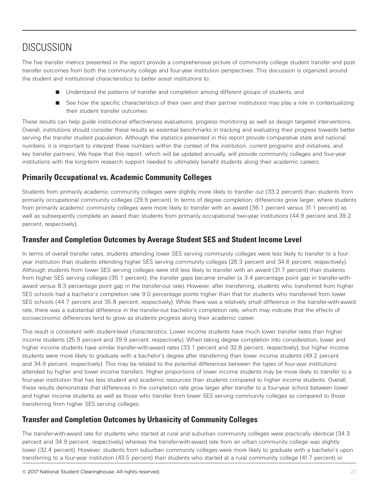# **DISCUSSION**

The five transfer metrics presented in the report provide a comprehensive picture of community college student transfer and posttransfer outcomes from both the community college and four-year institution perspectives. This discussion is organized around the student and institutional characteristics to better assist institutions to:

- Understand the patterns of transfer and completion among different groups of students, and
- See how the specific characteristics of their own and their partner institutions may play a role in contextualizing their student transfer outcomes.

These results can help guide institutional effectiveness evaluations, progress monitoring as well as design targeted interventions. Overall, institutions should consider these results as essential benchmarks in tracking and evaluating their progress towards better serving the transfer student population. Although the statistics presented in this report provide comparative state and national numbers, it is important to interpret these numbers within the context of the institution, current programs and initiatives, and key transfer partners. We hope that this report, which will be updated annually, will provide community colleges and four-year institutions with the long-term research support needed to ultimately benefit students along their academic careers.

#### **Primarily Occupational vs. Academic Community Colleges**

Students from primarily academic community colleges were slightly more likely to transfer out (33.2 percent) than students from primarily occupational community colleges (29.9 percent). In terms of degree completion, differences grow larger, where students from primarily academic community colleges were more likely to transfer with an award (36.1 percent versus 31.1 percent) as well as subsequently complete an award than students from primarily occupational two-year institutions (44.9 percent and 39.2 percent, respectively).

#### **Transfer and Completion Outcomes by Average Student SES and Student Income Level**

In terms of overall transfer rates, students attending lower SES serving community colleges were less likely to transfer to a fouryear institution than students attending higher SES serving community colleges (26.3 percent and 34.6 percent, respectively). Although students from lower SES serving colleges were still less likely to transfer with an award (31.7 percent) than students from higher SES serving colleges (35.1 percent), the transfer gaps became smaller (a 3.4 percentage point gap in transfer-withaward versus 8.3 percentage point gap in the transfer-out rate). However, after transferring, students who transferred from higher SES schools had a bachelor's completion rate 9.0 percentage points higher than that for students who transferred from lower SES schools (44.7 percent and 35.8 percent, respectively). While there was a relatively small difference in the transfer-with-award rate, there was a substantial difference in the transfer-out bachelor's completion rate, which may indicate that the effects of socioeconomic differences tend to grow as students progress along their academic career.

This result is consistent with student-level characteristics. Lower income students have much lower transfer rates than higher income students (25.9 percent and 39.9 percent, respectively). When taking degree completion into consideration, lower and higher income students have similar transfer-with-award rates (33.1 percent and 32.8 percent, respectively), but higher income students were more likely to graduate with a bachelor's degree after transferring than lower income students (49.2 percent and 34.9 percent, respectively). This may be related to the potential differences between the types of four-year institutions attended by higher and lower income transfers. Higher proportions of lower income students may be more likely to transfer to a four-year institution that has less student and academic resources than students compared to higher income students. Overall, these results demonstrate that differences in the completion rate grow larger after transfer to a four-year school between lower and higher income students as well as those who transfer from lower SES serving community colleges as compared to those transferring from higher SES serving colleges.

### **Transfer and Completion Outcomes by Urbanicity of Community Colleges**

The transfer-with-award rate for students who started at rural and suburban community colleges were practically identical (34.3 percent and 34.9 percent, respectively) whereas the transfer-with-award rate from an urban community college was slightly lower (32.4 percent). However, students from suburban community colleges were more likely to graduate with a bachelor's upon transferring to a four-year institution (43.5 percent) than students who started at a rural community college (41.7 percent) or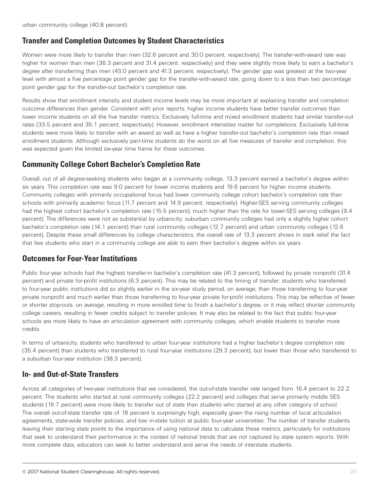#### **Transfer and Completion Outcomes by Student Characteristics**

Women were more likely to transfer than men (32.6 percent and 30.0 percent, respectively). The transfer-with-award rate was higher for women than men (36.3 percent and 31.4 percent, respectively) and they were slightly more likely to earn a bachelor's degree after transferring than men (43.0 percent and 41.3 percent, respectively). The gender gap was greatest at the two-year level with almost a five percentage point gender gap for the transfer-with-award rate, going down to a less than two percentage point gender gap for the transfer-out bachelor's completion rate.

Results show that enrollment intensity and student income levels may be more important at explaining transfer and completion outcome differences than gender. Consistent with prior reports, higher income students have better transfer outcomes than lower income students on all the five transfer metrics. Exclusively full-time and mixed enrollment students had similar transfer-out rates (33.5 percent and 35.1 percent, respectively). However, enrollment intensities matter for completions. Exclusively full-time students were more likely to transfer with an award as well as have a higher transfer-out bachelor's completion rate than mixed enrollment students. Although exclusively part-time students do the worst on all five measures of transfer and completion, this was expected given the limited six-year time frame for these outcomes.

#### **Community College Cohort Bachelor's Completion Rate**

Overall, out of all degree-seeking students who began at a community college, 13.3 percent earned a bachelor's degree within six years. This completion rate was 9.0 percent for lower income students and 19.6 percent for higher income students. Community colleges with primarily occupational focus had lower community college cohort bachelor's completion rate than schools with primarily academic focus (11.7 percent and 14.9 percent, respectively). Higher-SES serving community colleges had the highest cohort bachelor's completion rate (15.5 percent), much higher than the rate for lower-SES serving colleges (9.4 percent). The differences were not as substantial by urbanicity: suburban community colleges had only a slightly higher cohort bachelor's completion rate (14.1 percent) than rural community colleges (12.7 percent) and urban community colleges (12.6 percent). Despite these small differences by college characteristics, the overall rate of 13.3 percent shows in stark relief the fact that few students who start in a community college are able to earn their bachelor's degree within six years.

#### **Outcomes for Four-Year Institutions**

Public four-year schools had the highest transfer-in bachelor's completion rate (41.3 percent), followed by private nonprofit (31.4 percent) and private for-profit institutions (6.3 percent). This may be related to the timing of transfer: students who transferred to four-year public institutions did so slightly earlier in the six-year study period, on average, than those transferring to four-year private nonprofit and much earlier than those transferring to four-year private for-profit institutions. This may be reflective of fewer or shorter stop-outs, on average, resulting in more enrolled time to finish a bachelor's degree, or it may reflect shorter community college careers, resulting in fewer credits subject to transfer policies. It may also be related to the fact that public four-year schools are more likely to have an articulation agreement with community colleges, which enable students to transfer more credits.

In terms of urbanicity, students who transferred to urban four-year institutions had a higher bachelor's degree completion rate (35.4 percent) than students who transferred to rural four-year institutions (29.3 percent), but lower than those who transferred to a suburban four-year institution (38.3 percent).

#### **In- and Out-of-State Transfers**

Across all categories of two-year institutions that we considered, the out-of-state transfer rate ranged from 16.4 percent to 22.2 percent. The students who started at rural community colleges (22.2 percent) and colleges that serve primarily middle SES students (19.7 percent) were more likely to transfer out of state than students who started at any other category of school. The overall out-of-state transfer rate of 18 percent is surprisingly high, especially given the rising number of local articulation agreements, state-wide transfer policies, and low in-state tuition at public four-year universities. The number of transfer students leaving their starting state points to the importance of using national data to calculate these metrics, particularly for institutions that seek to understand their performance in the context of national trends that are not captured by state system reports. With more complete data, educators can seek to better understand and serve the needs of interstate students.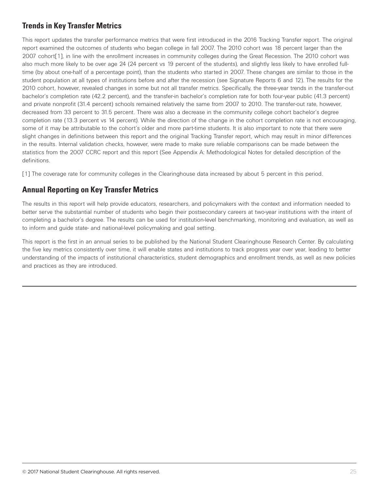## **Trends in Key Transfer Metrics**

This report updates the transfer performance metrics that were first introduced in the 2016 Tracking Transfer report. The original report examined the outcomes of students who began college in fall 2007. The 2010 cohort was 18 percent larger than the 2007 cohort[1], in line with the enrollment increases in community colleges during the Great Recession. The 2010 cohort was also much more likely to be over age 24 (24 percent vs 19 percent of the students), and slightly less likely to have enrolled fulltime (by about one-half of a percentage point), than the students who started in 2007. These changes are similar to those in the student population at all types of institutions before and after the recession (see Signature Reports 6 and 12). The results for the 2010 cohort, however, revealed changes in some but not all transfer metrics. Specifically, the three-year trends in the transfer-out bachelor's completion rate (42.2 percent), and the transfer-in bachelor's completion rate for both four-year public (41.3 percent) and private nonprofit (31.4 percent) schools remained relatively the same from 2007 to 2010. The transfer-out rate, however, decreased from 33 percent to 31.5 percent. There was also a decrease in the community college cohort bachelor's degree completion rate (13.3 percent vs 14 percent). While the direction of the change in the cohort completion rate is not encouraging, some of it may be attributable to the cohort's older and more part-time students. It is also important to note that there were slight changes in definitions between this report and the original Tracking Transfer report, which may result in minor differences in the results. Internal validation checks, however, were made to make sure reliable comparisons can be made between the statistics from the 2007 CCRC report and this report (See Appendix A: Methodological Notes for detailed description of the definitions.

[1] The coverage rate for community colleges in the Clearinghouse data increased by about 5 percent in this period.

### **Annual Reporting on Key Transfer Metrics**

The results in this report will help provide educators, researchers, and policymakers with the context and information needed to better serve the substantial number of students who begin their postsecondary careers at two-year institutions with the intent of completing a bachelor's degree. The results can be used for institution-level benchmarking, monitoring and evaluation, as well as to inform and guide state- and national-level policymaking and goal setting.

This report is the first in an annual series to be published by the National Student Clearinghouse Research Center. By calculating the five key metrics consistently over time, it will enable states and institutions to track progress year over year, leading to better understanding of the impacts of institutional characteristics, student demographics and enrollment trends, as well as new policies and practices as they are introduced.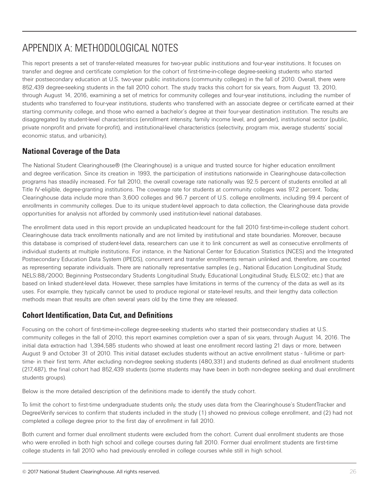# APPENDIX A: METHODOLOGICAL NOTES

This report presents a set of transfer-related measures for two-year public institutions and four-year institutions. It focuses on transfer and degree and certificate completion for the cohort of first-time-in-college degree-seeking students who started their postsecondary education at U.S. two-year public institutions (community colleges) in the fall of 2010. Overall, there were 852,439 degree-seeking students in the fall 2010 cohort. The study tracks this cohort for six years, from August 13, 2010, through August 14, 2016, examining a set of metrics for community colleges and four-year institutions, including the number of students who transferred to four-year institutions, students who transferred with an associate degree or certificate earned at their starting community college, and those who earned a bachelor's degree at their four-year destination institution. The results are disaggregated by student-level characteristics (enrollment intensity, family income level, and gender), institutional sector (public, private nonprofit and private for-profit), and institutional-level characteristics (selectivity, program mix, average students' social economic status, and urbanicity).

### **National Coverage of the Data**

The National Student Clearinghouse® (the Clearinghouse) is a unique and trusted source for higher education enrollment and degree verification. Since its creation in 1993, the participation of institutions nationwide in Clearinghouse data-collection programs has steadily increased. For fall 2010, the overall coverage rate nationally was 92.5 percent of students enrolled at all Title IV-eligible, degree-granting institutions. The coverage rate for students at community colleges was 97.2 percent. Today, Clearinghouse data include more than 3,600 colleges and 96.7 percent of U.S. college enrollments, including 99.4 percent of enrollments in community colleges. Due to its unique student-level approach to data collection, the Clearinghouse data provide opportunities for analysis not afforded by commonly used institution-level national databases.

The enrollment data used in this report provide an unduplicated headcount for the fall 2010 first-time-in-college student cohort. Clearinghouse data track enrollments nationally and are not limited by institutional and state boundaries. Moreover, because this database is comprised of student-level data, researchers can use it to link concurrent as well as consecutive enrollments of individual students at multiple institutions. For instance, in the National Center for Education Statistics (NCES) and the Integrated Postsecondary Education Data System (IPEDS), concurrent and transfer enrollments remain unlinked and, therefore, are counted as representing separate individuals. There are nationally representative samples (e.g., National Education Longitudinal Study, NELS:88/2000; Beginning Postsecondary Students Longitudinal Study, Educational Longitudinal Study, ELS:02; etc.) that are based on linked student-level data. However, these samples have limitations in terms of the currency of the data as well as its uses. For example, they typically cannot be used to produce regional or state-level results, and their lengthy data collection methods mean that results are often several years old by the time they are released.

### **Cohort Identification, Data Cut, and Definitions**

Focusing on the cohort of first-time-in-college degree-seeking students who started their postsecondary studies at U.S. community colleges in the fall of 2010, this report examines completion over a span of six years, through August 14, 2016. The initial data extraction had 1,394,585 students who showed at least one enrollment record lasting 21 days or more, between August 9 and October 31 of 2010. This initial dataset excludes students without an active enrollment status - full-time or parttime- in their first term. After excluding non-degree seeking students (480,331) and students defined as dual enrollment students (217,487), the final cohort had 852,439 students (some students may have been in both non-degree seeking and dual enrollment students groups).

Below is the more detailed description of the definitions made to identify the study cohort.

To limit the cohort to first-time undergraduate students only, the study uses data from the Clearinghouse's StudentTracker and DegreeVerify services to confirm that students included in the study (1) showed no previous college enrollment, and (2) had not completed a college degree prior to the first day of enrollment in fall 2010.

Both current and former dual enrollment students were excluded from the cohort. Current dual enrollment students are those who were enrolled in both high school and college courses during fall 2010. Former dual enrollment students are first-time college students in fall 2010 who had previously enrolled in college courses while still in high school.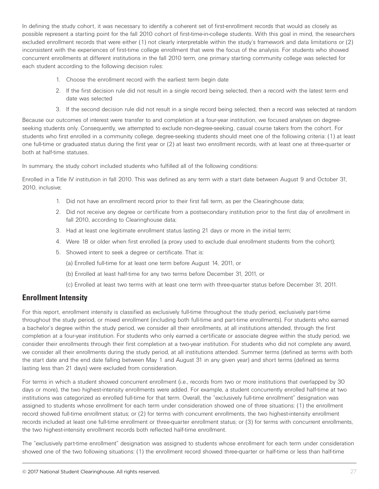In defining the study cohort, it was necessary to identify a coherent set of first-enrollment records that would as closely as possible represent a starting point for the fall 2010 cohort of first-time-in-college students. With this goal in mind, the researchers excluded enrollment records that were either (1) not clearly interpretable within the study's framework and data limitations or (2) inconsistent with the experiences of first-time college enrollment that were the focus of the analysis. For students who showed concurrent enrollments at different institutions in the fall 2010 term, one primary starting community college was selected for each student according to the following decision rules:

- 1. Choose the enrollment record with the earliest term begin date
- 2. If the first decision rule did not result in a single record being selected, then a record with the latest term end date was selected
- 3. If the second decision rule did not result in a single record being selected, then a record was selected at random

Because our outcomes of interest were transfer to and completion at a four-year institution, we focused analyses on degreeseeking students only. Consequently, we attempted to exclude non-degree-seeking, casual course takers from the cohort. For students who first enrolled in a community college, degree-seeking students should meet one of the following criteria: (1) at least one full-time or graduated status during the first year or (2) at least two enrollment records, with at least one at three-quarter or both at half-time statuses.

In summary, the study cohort included students who fulfilled all of the following conditions:

Enrolled in a Title IV institution in fall 2010. This was defined as any term with a start date between August 9 and October 31, 2010, inclusive;

- 1. Did not have an enrollment record prior to their first fall term, as per the Clearinghouse data;
- 2. Did not receive any degree or certificate from a postsecondary institution prior to the first day of enrollment in fall 2010, according to Clearinghouse data;
- 3. Had at least one legitimate enrollment status lasting 21 days or more in the initial term;
- 4. Were 18 or older when first enrolled (a proxy used to exclude dual enrollment students from the cohort);
- 5. Showed intent to seek a degree or certificate. That is:
	- (a) Enrolled full-time for at least one term before August 14, 2011, or
	- (b) Enrolled at least half-time for any two terms before December 31, 2011, or
	- (c) Enrolled at least two terms with at least one term with three-quarter status before December 31, 2011.

#### **Enrollment Intensity**

For this report, enrollment intensity is classified as exclusively full-time throughout the study period, exclusively part-time throughout the study period, or mixed enrollment (including both full-time and part-time enrollments). For students who earned a bachelor's degree within the study period, we consider all their enrollments, at all institutions attended, through the first completion at a four-year institution. For students who only earned a certificate or associate degree within the study period, we consider their enrollments through their first completion at a two-year institution. For students who did not complete any award, we consider all their enrollments during the study period, at all institutions attended. Summer terms (defined as terms with both the start date and the end date falling between May 1 and August 31 in any given year) and short terms (defined as terms lasting less than 21 days) were excluded from consideration.

For terms in which a student showed concurrent enrollment (i.e., records from two or more institutions that overlapped by 30 days or more), the two highest-intensity enrollments were added. For example, a student concurrently enrolled half-time at two institutions was categorized as enrolled full-time for that term. Overall, the "exclusively full-time enrollment" designation was assigned to students whose enrollment for each term under consideration showed one of three situations: (1) the enrollment record showed full-time enrollment status; or (2) for terms with concurrent enrollments, the two highest-intensity enrollment records included at least one full-time enrollment or three-quarter enrollment status; or (3) for terms with concurrent enrollments, the two highest-intensity enrollment records both reflected half-time enrollment.

The "exclusively part-time enrollment" designation was assigned to students whose enrollment for each term under consideration showed one of the two following situations: (1) the enrollment record showed three-quarter or half-time or less than half-time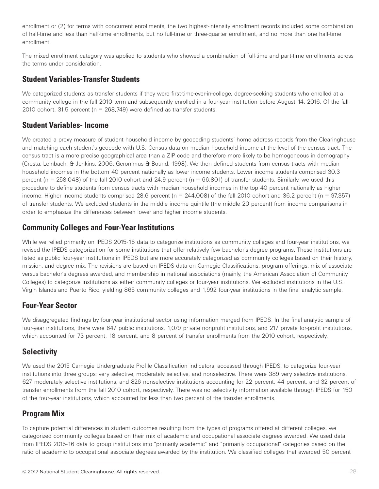enrollment or (2) for terms with concurrent enrollments, the two highest-intensity enrollment records included some combination of half-time and less than half-time enrollments, but no full-time or three-quarter enrollment, and no more than one half-time enrollment.

The mixed enrollment category was applied to students who showed a combination of full-time and part-time enrollments across the terms under consideration.

#### **Student Variables-Transfer Students**

We categorized students as transfer students if they were first-time-ever-in-college, degree-seeking students who enrolled at a community college in the fall 2010 term and subsequently enrolled in a four-year institution before August 14, 2016. Of the fall 2010 cohort, 31.5 percent ( $n = 268,749$ ) were defined as transfer students.

#### **Student Variables- Income**

We created a proxy measure of student household income by geocoding students' home address records from the Clearinghouse and matching each student's geocode with U.S. Census data on median household income at the level of the census tract. The census tract is a more precise geographical area than a ZIP code and therefore more likely to be homogeneous in demography (Crosta, Leinbach, & Jenkins, 2006; Geronimus & Bound, 1998). We then defined students from census tracts with median household incomes in the bottom 40 percent nationally as lower income students. Lower income students comprised 30.3 percent (n = 258,048) of the fall 2010 cohort and 24.9 percent (n = 66,801) of transfer students. Similarly, we used this procedure to define students from census tracts with median household incomes in the top 40 percent nationally as higher income. Higher income students comprised 28.6 percent ( $n = 244,008$ ) of the fall 2010 cohort and 36.2 percent ( $n = 97,357$ ) of transfer students. We excluded students in the middle income quintile (the middle 20 percent) from income comparisons in order to emphasize the differences between lower and higher income students.

#### **Community Colleges and Four-Year Institutions**

While we relied primarily on IPEDS 2015-16 data to categorize institutions as community colleges and four-year institutions, we revised the IPEDS categorization for some institutions that offer relatively few bachelor's degree programs. These institutions are listed as public four-year institutions in IPEDS but are more accurately categorized as community colleges based on their history, mission, and degree mix. The revisions are based on IPEDS data on Carnegie Classifications, program offerings, mix of associate versus bachelor's degrees awarded, and membership in national associations (mainly, the American Association of Community Colleges) to categorize institutions as either community colleges or four-year institutions. We excluded institutions in the U.S. Virgin Islands and Puerto Rico, yielding 865 community colleges and 1,992 four-year institutions in the final analytic sample.

### **Four-Year Sector**

We disaggregated findings by four-year institutional sector using information merged from IPEDS. In the final analytic sample of four-year institutions, there were 647 public institutions, 1,079 private nonprofit institutions, and 217 private for-profit institutions, which accounted for 73 percent, 18 percent, and 8 percent of transfer enrollments from the 2010 cohort, respectively.

### **Selectivity**

We used the 2015 Carnegie Undergraduate Profile Classification indicators, accessed through IPEDS, to categorize four-year institutions into three groups: very selective, moderately selective, and nonselective. There were 389 very selective institutions, 627 moderately selective institutions, and 826 nonselective institutions accounting for 22 percent, 44 percent, and 32 percent of transfer enrollments from the fall 2010 cohort, respectively. There was no selectivity information available through IPEDS for 150 of the four-year institutions, which accounted for less than two percent of the transfer enrollments.

## **Program Mix**

To capture potential differences in student outcomes resulting from the types of programs offered at different colleges, we categorized community colleges based on their mix of academic and occupational associate degrees awarded. We used data from IPEDS 2015-16 data to group institutions into "primarily academic" and "primarily occupational" categories based on the ratio of academic to occupational associate degrees awarded by the institution. We classified colleges that awarded 50 percent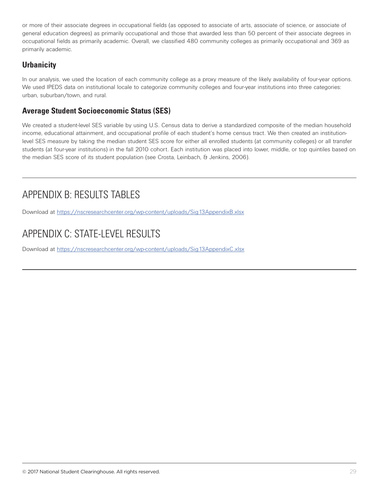or more of their associate degrees in occupational fields (as opposed to associate of arts, associate of science, or associate of general education degrees) as primarily occupational and those that awarded less than 50 percent of their associate degrees in occupational fields as primarily academic. Overall, we classified 480 community colleges as primarily occupational and 369 as primarily academic.

## **Urbanicity**

In our analysis, we used the location of each community college as a proxy measure of the likely availability of four-year options. We used IPEDS data on institutional locale to categorize community colleges and four-year institutions into three categories: urban, suburban/town, and rural.

### **Average Student Socioeconomic Status (SES)**

We created a student-level SES variable by using U.S. Census data to derive a standardized composite of the median household income, educational attainment, and occupational profile of each student's home census tract. We then created an institutionlevel SES measure by taking the median student SES score for either all enrolled students (at community colleges) or all transfer students (at four-year institutions) in the fall 2010 cohort. Each institution was placed into lower, middle, or top quintiles based on the median SES score of its student population (see Crosta, Leinbach, & Jenkins, 2006).

# APPENDIX B: RESULTS TABLES

Download at https://nscresearchcenter.org/wp-content/uploads/Sig13AppendixB.xlsx

# APPENDIX C: STATE-LEVEL RESULTS

Download at https://nscresearchcenter.org/wp-content/uploads/Sig13AppendixC.xlsx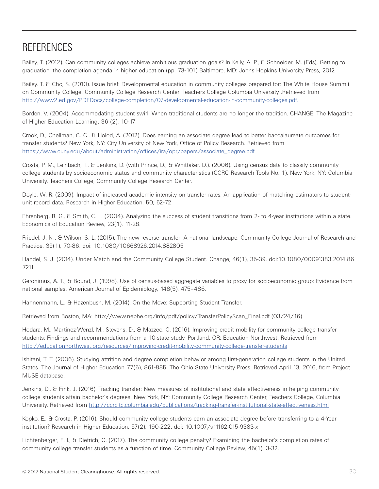# **REFERENCES**

Bailey, T. (2012). Can community colleges achieve ambitious graduation goals? In Kelly, A. P., & Schneider, M. (Eds), Getting to graduation: the completion agenda in higher education (pp. 73-101) Baltimore, MD: Johns Hopkins University Press, 2012

Bailey, T. & Cho, S. (2010). Issue brief: Developmental education in community colleges prepared for: The White House Summit on Community College. Community College Research Center. Teachers College Columbia University .Retrieved from http://www2.ed.gov/PDFDocs/college-completion/07-developmental-education-in-community-colleges.pdf.

Borden, V. (2004). Accommodating student swirl: When traditional students are no longer the tradition. CHANGE: The Magazine of Higher Education Learning, 36 (2), 10-17

Crook, D., Chellman, C. C., & Holod, A. (2012). Does earning an associate degree lead to better baccalaureate outcomes for transfer students? New York, NY: City University of New York, Office of Policy Research. Retrieved from https://www.cuny.edu/about/administration/offices/ira/opr/papers/associate\_degree.pdf

Crosta, P. M., Leinbach, T., & Jenkins, D. (with Prince, D., & Whittaker, D.). (2006). Using census data to classify community college students by socioeconomic status and community characteristics (CCRC Research Tools No. 1). New York, NY: Columbia University, Teachers College, Community College Research Center.

Doyle, W. R. (2009). Impact of increased academic intensity on transfer rates: An application of matching estimators to studentunit record data. Research in Higher Education, 50, 52-72.

Ehrenberg, R. G., & Smith, C. L. (2004). Analyzing the success of student transitions from 2- to 4-year institutions within a state. Economics of Education Review, 23(1), 11-28.

Friedel, J. N., & Wilson, S. L. (2015). The new reverse transfer: A national landscape. Community College Journal of Research and Practice, 39(1), 70-86. doi: 10.1080/10668926.2014.882805

Handel, S. J. (2014). Under Match and the Community College Student. Change, 46(1), 35-39. doi:10.1080/00091383.2014.86 7211

Geronimus, A. T., & Bound, J. (1998). Use of census-based aggregate variables to proxy for socioeconomic group: Evidence from national samples. American Journal of Epidemiology, 148(5), 475–486.

Hannenmann, L., & Hazenbush, M. (2014). On the Move: Supporting Student Transfer.

Retrieved from Boston, MA: http://www.nebhe.org/info/pdf/policy/TransferPolicyScan\_Final.pdf (03/24/16)

Hodara, M., Martinez-Wenzl, M., Stevens, D., & Mazzeo, C. (2016). Improving credit mobility for community college transfer students: Findings and recommendations from a 10-state study. Portland, OR: Education Northwest. Retrieved from http://educationnorthwest.org/resources/improving-credit-mobility-community-college-transfer-students

Ishitani, T. T. (2006). Studying attrition and degree completion behavior among first-generation college students in the United States. The Journal of Higher Education 77(5), 861-885. The Ohio State University Press. Retrieved April 13, 2016, from Project MUSE database.

Jenkins, D., & Fink, J. (2016). Tracking transfer: New measures of institutional and state effectiveness in helping community college students attain bachelor's degrees. New York, NY: Community College Research Center, Teachers College, Columbia University. Retrieved from http://ccrc.tc.columbia.edu/publications/tracking-transfer-institutional-state-effectiveness.html

Kopko, E., & Crosta, P. (2016). Should community college students earn an associate degree before transferring to a 4-Year institution? Research in Higher Education, 57(2), 190-222. doi: 10.1007/s11162-015-9383-x

Lichtenberger, E. l., & Dietrich, C. (2017). The community college penalty? Examining the bachelor's completion rates of community college transfer students as a function of time. Community College Review, 45(1), 3-32.